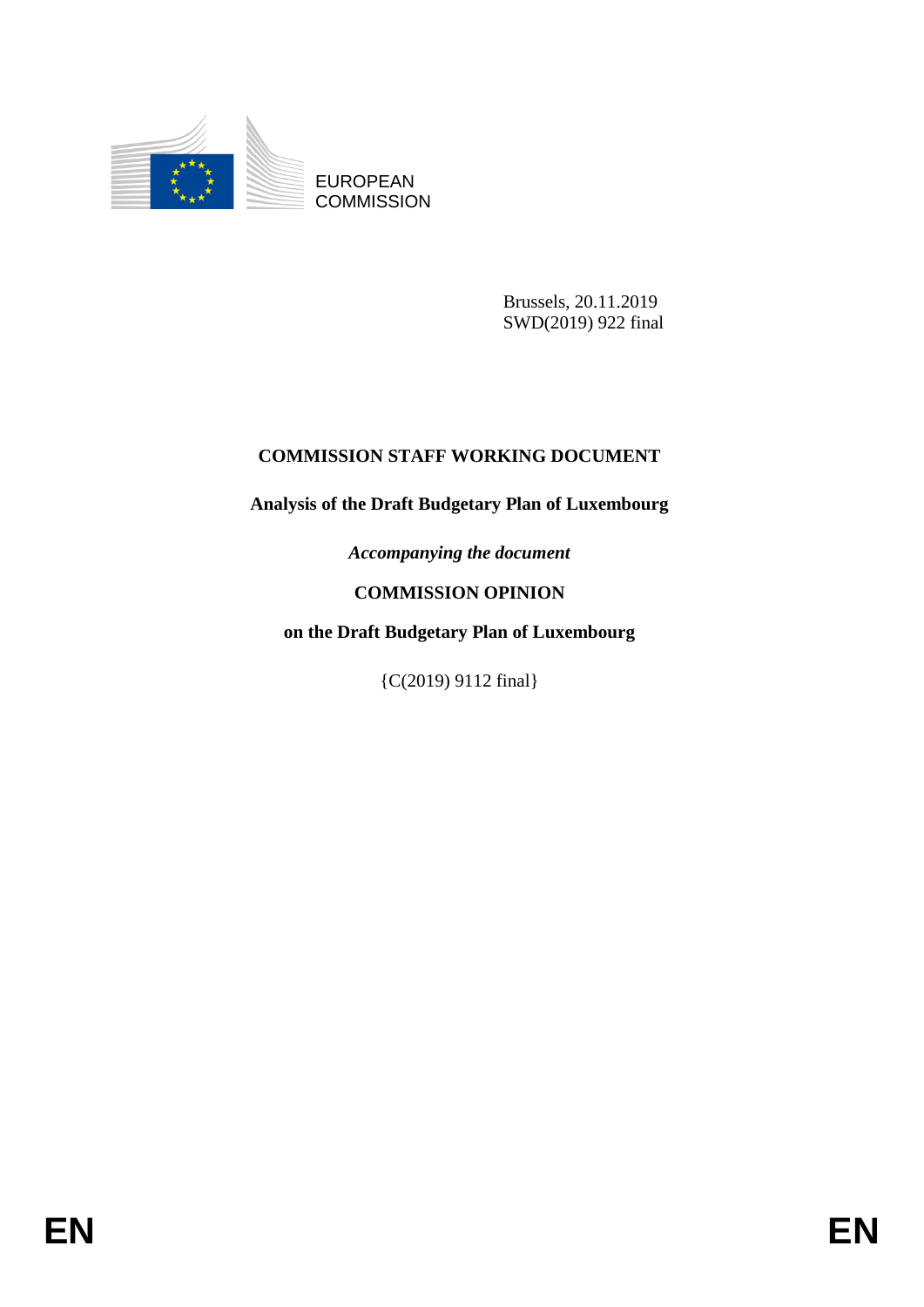

EUROPEAN **COMMISSION** 

> Brussels, 20.11.2019 SWD(2019) 922 final

# **COMMISSION STAFF WORKING DOCUMENT**

# **Analysis of the Draft Budgetary Plan of Luxembourg**

*Accompanying the document*

# **COMMISSION OPINION**

**on the Draft Budgetary Plan of Luxembourg**

{C(2019) 9112 final}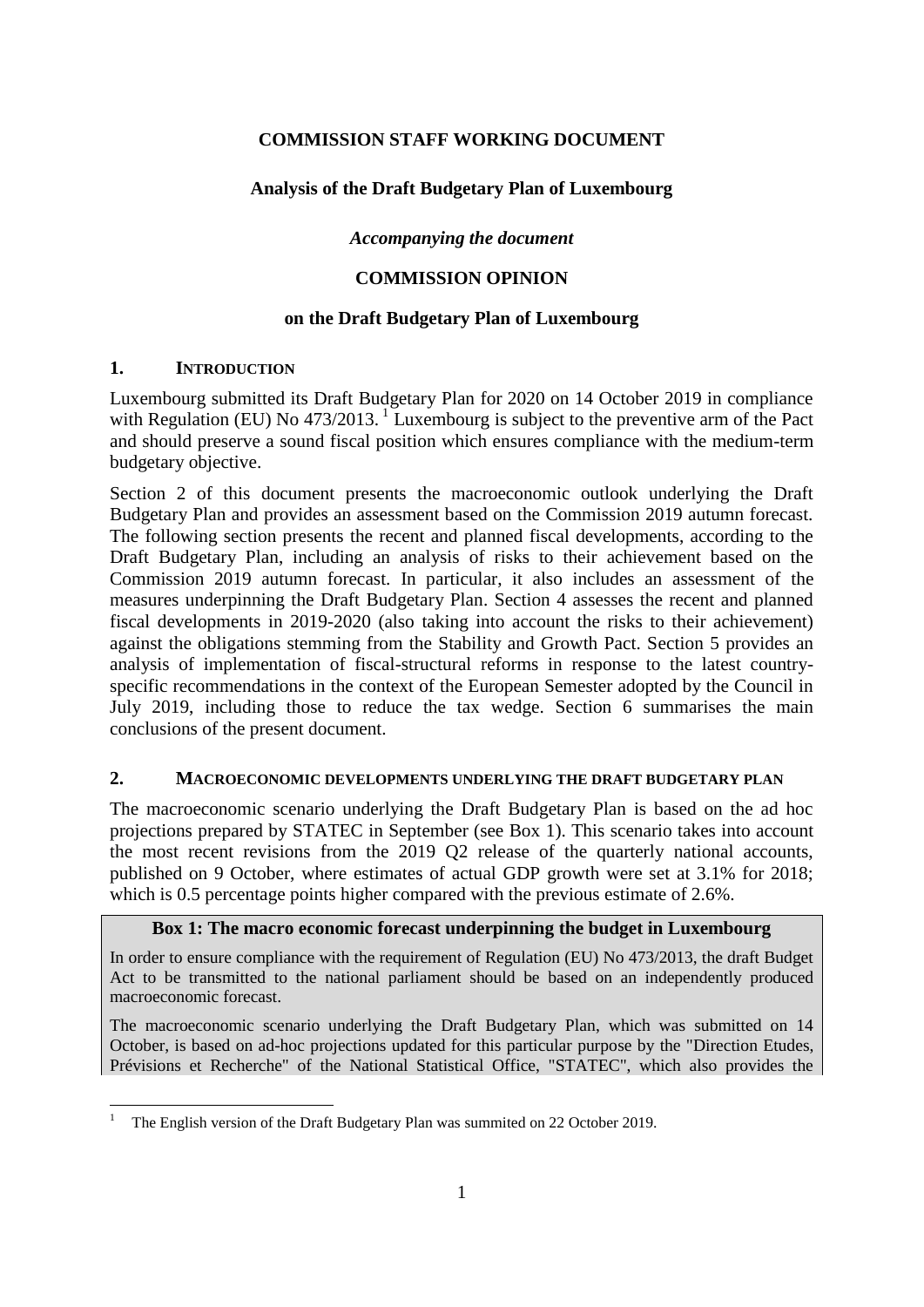# **COMMISSION STAFF WORKING DOCUMENT**

# **Analysis of the Draft Budgetary Plan of Luxembourg**

*Accompanying the document*

# **COMMISSION OPINION**

# **on the Draft Budgetary Plan of Luxembourg**

# **1. INTRODUCTION**

Luxembourg submitted its Draft Budgetary Plan for 2020 on 14 October 2019 in compliance with Regulation (EU) No  $473/2013$ .<sup>1</sup> Luxembourg is subject to the preventive arm of the Pact and should preserve a sound fiscal position which ensures compliance with the medium-term budgetary objective.

Section 2 of this document presents the macroeconomic outlook underlying the Draft Budgetary Plan and provides an assessment based on the Commission 2019 autumn forecast. The following section presents the recent and planned fiscal developments, according to the Draft Budgetary Plan, including an analysis of risks to their achievement based on the Commission 2019 autumn forecast. In particular, it also includes an assessment of the measures underpinning the Draft Budgetary Plan. Section 4 assesses the recent and planned fiscal developments in 2019-2020 (also taking into account the risks to their achievement) against the obligations stemming from the Stability and Growth Pact. Section 5 provides an analysis of implementation of fiscal-structural reforms in response to the latest countryspecific recommendations in the context of the European Semester adopted by the Council in July 2019, including those to reduce the tax wedge. Section 6 summarises the main conclusions of the present document.

## **2. MACROECONOMIC DEVELOPMENTS UNDERLYING THE DRAFT BUDGETARY PLAN**

The macroeconomic scenario underlying the Draft Budgetary Plan is based on the ad hoc projections prepared by STATEC in September (see Box 1). This scenario takes into account the most recent revisions from the 2019 Q2 release of the quarterly national accounts, published on 9 October, where estimates of actual GDP growth were set at 3.1% for 2018; which is 0.5 percentage points higher compared with the previous estimate of 2.6%.

## **Box 1: The macro economic forecast underpinning the budget in Luxembourg**

In order to ensure compliance with the requirement of Regulation (EU) No 473/2013, the draft Budget Act to be transmitted to the national parliament should be based on an independently produced macroeconomic forecast.

The macroeconomic scenario underlying the Draft Budgetary Plan, which was submitted on 14 October, is based on ad-hoc projections updated for this particular purpose by the "Direction Etudes, Prévisions et Recherche" of the National Statistical Office, "STATEC", which also provides the

<sup>1</sup> <sup>1</sup> The English version of the Draft Budgetary Plan was summited on 22 October 2019.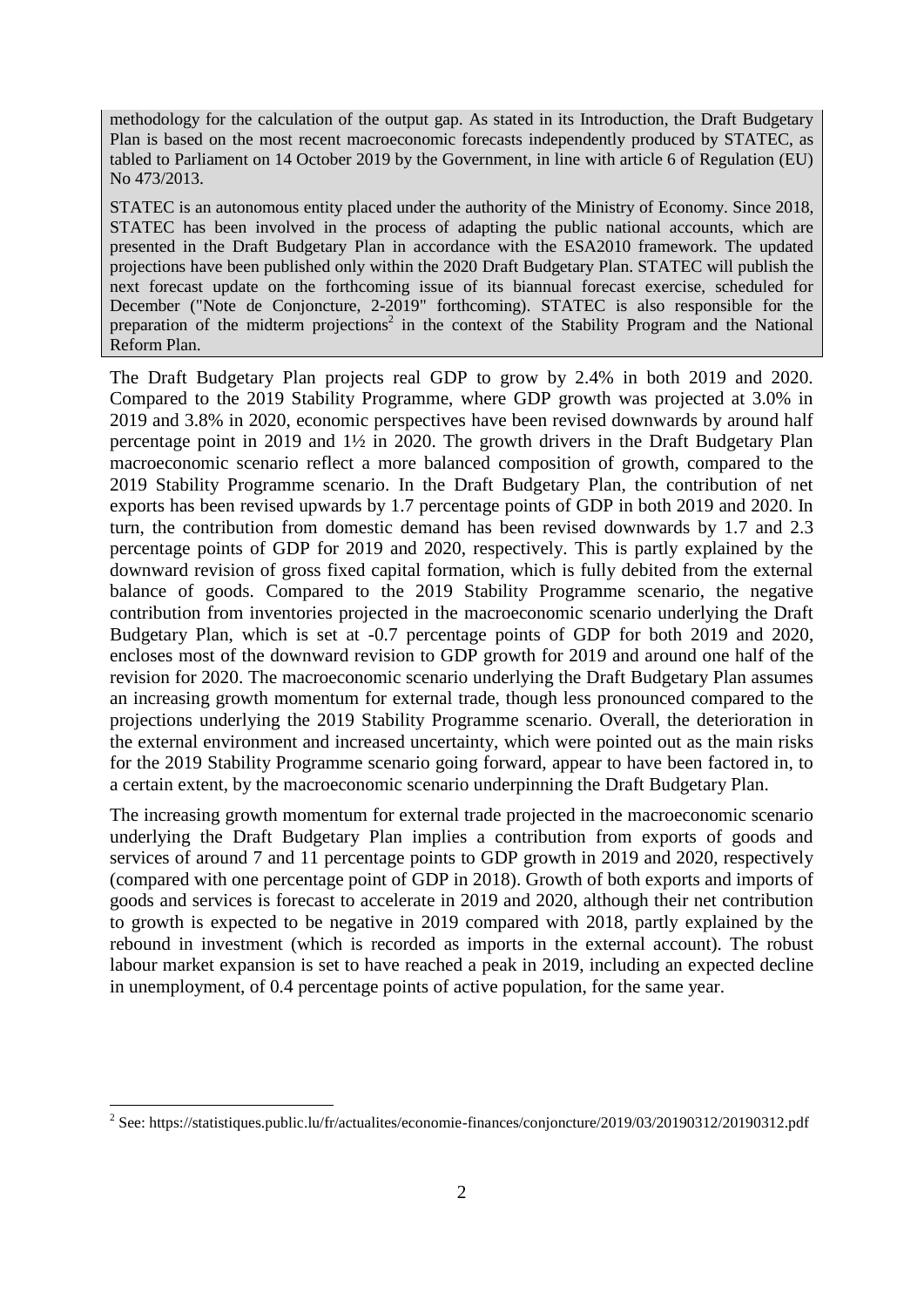methodology for the calculation of the output gap. As stated in its Introduction, the Draft Budgetary Plan is based on the most recent macroeconomic forecasts independently produced by STATEC, as tabled to Parliament on 14 October 2019 by the Government, in line with article 6 of Regulation (EU) No 473/2013.

STATEC is an autonomous entity placed under the authority of the Ministry of Economy. Since 2018, STATEC has been involved in the process of adapting the public national accounts, which are presented in the Draft Budgetary Plan in accordance with the ESA2010 framework. The updated projections have been published only within the 2020 Draft Budgetary Plan. STATEC will publish the next forecast update on the forthcoming issue of its biannual forecast exercise, scheduled for December ("Note de Conjoncture, 2-2019" forthcoming). STATEC is also responsible for the preparation of the midterm projections<sup>2</sup> in the context of the Stability Program and the National Reform Plan.

The Draft Budgetary Plan projects real GDP to grow by 2.4% in both 2019 and 2020. Compared to the 2019 Stability Programme, where GDP growth was projected at 3.0% in 2019 and 3.8% in 2020, economic perspectives have been revised downwards by around half percentage point in 2019 and 1½ in 2020. The growth drivers in the Draft Budgetary Plan macroeconomic scenario reflect a more balanced composition of growth, compared to the 2019 Stability Programme scenario. In the Draft Budgetary Plan, the contribution of net exports has been revised upwards by 1.7 percentage points of GDP in both 2019 and 2020. In turn, the contribution from domestic demand has been revised downwards by 1.7 and 2.3 percentage points of GDP for 2019 and 2020, respectively. This is partly explained by the downward revision of gross fixed capital formation, which is fully debited from the external balance of goods. Compared to the 2019 Stability Programme scenario, the negative contribution from inventories projected in the macroeconomic scenario underlying the Draft Budgetary Plan, which is set at -0.7 percentage points of GDP for both 2019 and 2020, encloses most of the downward revision to GDP growth for 2019 and around one half of the revision for 2020. The macroeconomic scenario underlying the Draft Budgetary Plan assumes an increasing growth momentum for external trade, though less pronounced compared to the projections underlying the 2019 Stability Programme scenario. Overall, the deterioration in the external environment and increased uncertainty, which were pointed out as the main risks for the 2019 Stability Programme scenario going forward, appear to have been factored in, to a certain extent, by the macroeconomic scenario underpinning the Draft Budgetary Plan.

The increasing growth momentum for external trade projected in the macroeconomic scenario underlying the Draft Budgetary Plan implies a contribution from exports of goods and services of around 7 and 11 percentage points to GDP growth in 2019 and 2020, respectively (compared with one percentage point of GDP in 2018). Growth of both exports and imports of goods and services is forecast to accelerate in 2019 and 2020, although their net contribution to growth is expected to be negative in 2019 compared with 2018, partly explained by the rebound in investment (which is recorded as imports in the external account). The robust labour market expansion is set to have reached a peak in 2019, including an expected decline in unemployment, of 0.4 percentage points of active population, for the same year.

<sup>&</sup>lt;u>2</u><br>2 See: https://statistiques.public.lu/fr/actualites/economie-finances/conjoncture/2019/03/20190312/20190312.pdf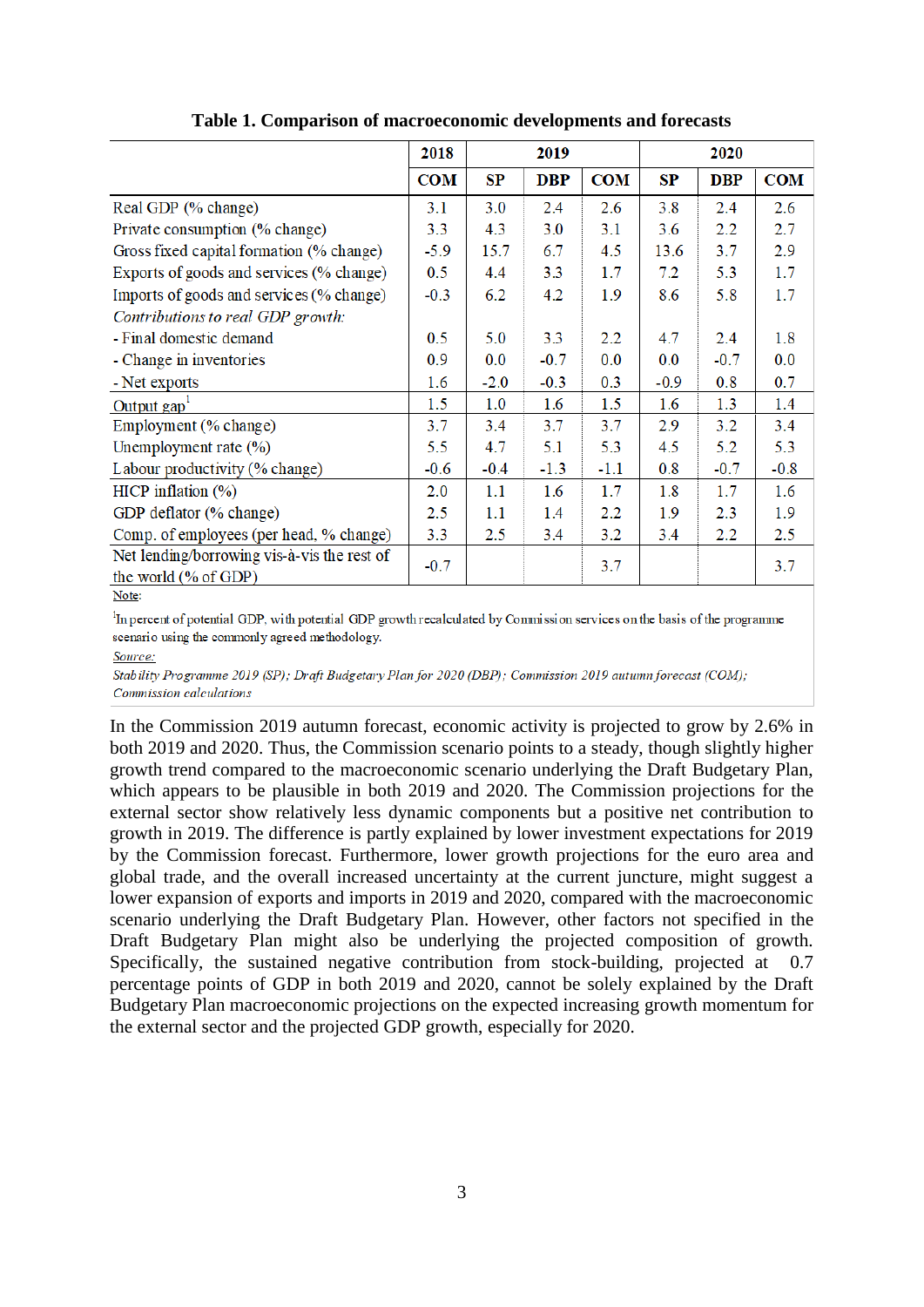|                                                                     | 2018       | 2019   |            | 2020       |        |            |            |
|---------------------------------------------------------------------|------------|--------|------------|------------|--------|------------|------------|
|                                                                     | <b>COM</b> | SP     | <b>DBP</b> | <b>COM</b> | SP     | <b>DBP</b> | <b>COM</b> |
| Real GDP (% change)                                                 | 3.1        | 3.0    | 2.4        | 2.6        | 3.8    | 2.4        | 2.6        |
| Private consumption (% change)                                      | 3.3        | 4.3    | 3.0        | 3.1        | 3.6    | $2.2\,$    | 2.7        |
| Gross fixed capital formation (% change)                            | $-5.9$     | 15.7   | 6.7        | 4.5        | 13.6   | 3.7        | 2.9        |
| Exports of goods and services (% change)                            | 0.5        | 4.4    | 3.3        | 1.7        | 7.2    | 5.3        | 1.7        |
| Imports of goods and services (% change)                            | $-0.3$     | 6.2    | 4.2        | 1.9        | 8.6    | 5.8        | 1.7        |
| Contributions to real GDP growth:                                   |            |        |            |            |        |            |            |
| - Final domestic demand                                             | 0.5        | 5.0    | 3.3        | 2.2        | 4.7    | 2.4        | 1.8        |
| - Change in inventories                                             | 0.9        | 0.0    | $-0.7$     | 0.0        | 0.0    | $-0.7$     | 0.0        |
| - Net exports                                                       | 1.6        | $-2.0$ | $-0.3$     | 0.3        | $-0.9$ | 0.8        | 0.7        |
| Output gap <sup>1</sup>                                             | 1.5        | 1.0    | 1.6        | 1.5        | 1.6    | 1.3        | 1.4        |
| Employment (% change)                                               | 3.7        | 3.4    | 3.7        | 3.7        | 2.9    | 3.2        | 3.4        |
| Unemployment rate $(\%)$                                            | 5.5        | 4.7    | 5.1        | 5.3        | 4.5    | 5.2        | 5.3        |
| Labour productivity (% change)                                      | $-0.6$     | $-0.4$ | $-1.3$     | $-1.1$     | 0.8    | $-0.7$     | $-0.8$     |
| HICP inflation $(\% )$                                              | 2.0        | 1.1    | 1.6        | 1.7        | 1.8    | 1.7        | 1.6        |
| GDP deflator (% change)                                             | 2.5        | 1.1    | 1.4        | $2.2\,$    | 1.9    | 2.3        | 1.9        |
| Comp. of employees (per head, % change)                             | 3.3        | 2.5    | 3.4        | 3.2        | 3.4    | 2.2        | 2.5        |
| Net lending/borrowing vis-à-vis the rest of<br>the world (% of GDP) | $-0.7$     |        |            | 3.7        |        |            | 3.7        |

**Table 1. Comparison of macroeconomic developments and forecasts**

Note:

<sup>1</sup>In percent of potential GDP, with potential GDP growth recalculated by Commission services on the basis of the programme scenario using the commonly agreed methodology.

Source:

Stability Programme 2019 (SP); Draft Budgetary Plan for 2020 (DBP); Commission 2019 autumn forecast (COM); Commission calculations

In the Commission 2019 autumn forecast, economic activity is projected to grow by 2.6% in both 2019 and 2020. Thus, the Commission scenario points to a steady, though slightly higher growth trend compared to the macroeconomic scenario underlying the Draft Budgetary Plan, which appears to be plausible in both 2019 and 2020. The Commission projections for the external sector show relatively less dynamic components but a positive net contribution to growth in 2019. The difference is partly explained by lower investment expectations for 2019 by the Commission forecast. Furthermore, lower growth projections for the euro area and global trade, and the overall increased uncertainty at the current juncture, might suggest a lower expansion of exports and imports in 2019 and 2020, compared with the macroeconomic scenario underlying the Draft Budgetary Plan. However, other factors not specified in the Draft Budgetary Plan might also be underlying the projected composition of growth. Specifically, the sustained negative contribution from stock-building, projected at 0.7 percentage points of GDP in both 2019 and 2020, cannot be solely explained by the Draft Budgetary Plan macroeconomic projections on the expected increasing growth momentum for the external sector and the projected GDP growth, especially for 2020.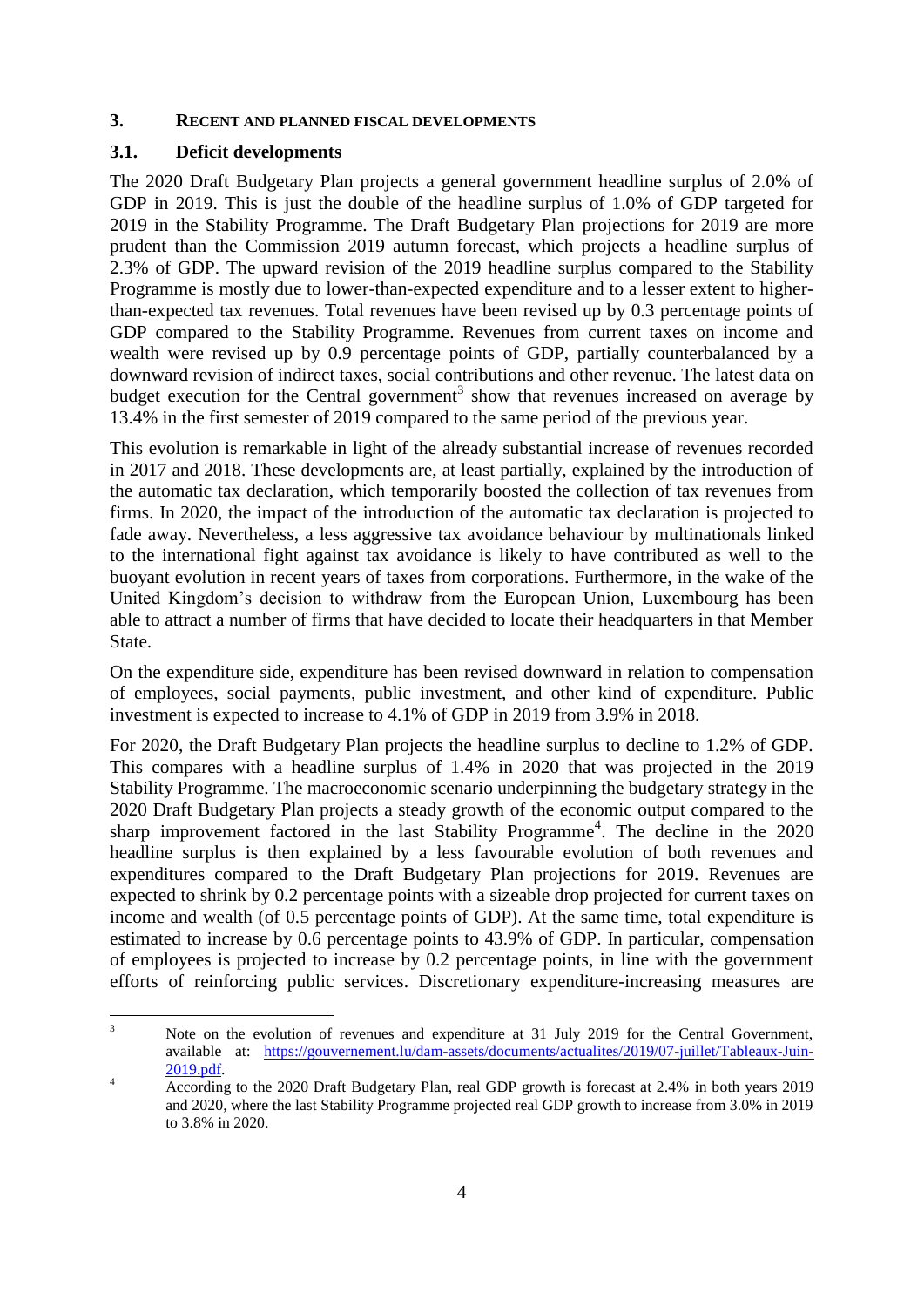### **3. RECENT AND PLANNED FISCAL DEVELOPMENTS**

### **3.1. Deficit developments**

The 2020 Draft Budgetary Plan projects a general government headline surplus of 2.0% of GDP in 2019. This is just the double of the headline surplus of 1.0% of GDP targeted for 2019 in the Stability Programme. The Draft Budgetary Plan projections for 2019 are more prudent than the Commission 2019 autumn forecast, which projects a headline surplus of 2.3% of GDP. The upward revision of the 2019 headline surplus compared to the Stability Programme is mostly due to lower-than-expected expenditure and to a lesser extent to higherthan-expected tax revenues. Total revenues have been revised up by 0.3 percentage points of GDP compared to the Stability Programme. Revenues from current taxes on income and wealth were revised up by 0.9 percentage points of GDP, partially counterbalanced by a downward revision of indirect taxes, social contributions and other revenue. The latest data on budget execution for the Central government<sup>3</sup> show that revenues increased on average by 13.4% in the first semester of 2019 compared to the same period of the previous year.

This evolution is remarkable in light of the already substantial increase of revenues recorded in 2017 and 2018. These developments are, at least partially, explained by the introduction of the automatic tax declaration, which temporarily boosted the collection of tax revenues from firms. In 2020, the impact of the introduction of the automatic tax declaration is projected to fade away. Nevertheless, a less aggressive tax avoidance behaviour by multinationals linked to the international fight against tax avoidance is likely to have contributed as well to the buoyant evolution in recent years of taxes from corporations. Furthermore, in the wake of the United Kingdom's decision to withdraw from the European Union, Luxembourg has been able to attract a number of firms that have decided to locate their headquarters in that Member State.

On the expenditure side, expenditure has been revised downward in relation to compensation of employees, social payments, public investment, and other kind of expenditure. Public investment is expected to increase to 4.1% of GDP in 2019 from 3.9% in 2018.

For 2020, the Draft Budgetary Plan projects the headline surplus to decline to 1.2% of GDP. This compares with a headline surplus of 1.4% in 2020 that was projected in the 2019 Stability Programme. The macroeconomic scenario underpinning the budgetary strategy in the 2020 Draft Budgetary Plan projects a steady growth of the economic output compared to the sharp improvement factored in the last Stability Programme<sup>4</sup>. The decline in the 2020 headline surplus is then explained by a less favourable evolution of both revenues and expenditures compared to the Draft Budgetary Plan projections for 2019. Revenues are expected to shrink by 0.2 percentage points with a sizeable drop projected for current taxes on income and wealth (of 0.5 percentage points of GDP). At the same time, total expenditure is estimated to increase by 0.6 percentage points to 43.9% of GDP. In particular, compensation of employees is projected to increase by 0.2 percentage points, in line with the government efforts of reinforcing public services. Discretionary expenditure-increasing measures are

 $\overline{3}$ Note on the evolution of revenues and expenditure at 31 July 2019 for the Central Government, available at: [https://gouvernement.lu/dam-assets/documents/actualites/2019/07-juillet/Tableaux-Juin-](https://gouvernement.lu/dam-assets/documents/actualites/2019/07-juillet/Tableaux-Juin-2019.pdf)[2019.pdf.](https://gouvernement.lu/dam-assets/documents/actualites/2019/07-juillet/Tableaux-Juin-2019.pdf)

<sup>&</sup>lt;sup>4</sup> According to the 2020 Draft Budgetary Plan, real GDP growth is forecast at 2.4% in both years 2019 and 2020, where the last Stability Programme projected real GDP growth to increase from 3.0% in 2019 to 3.8% in 2020.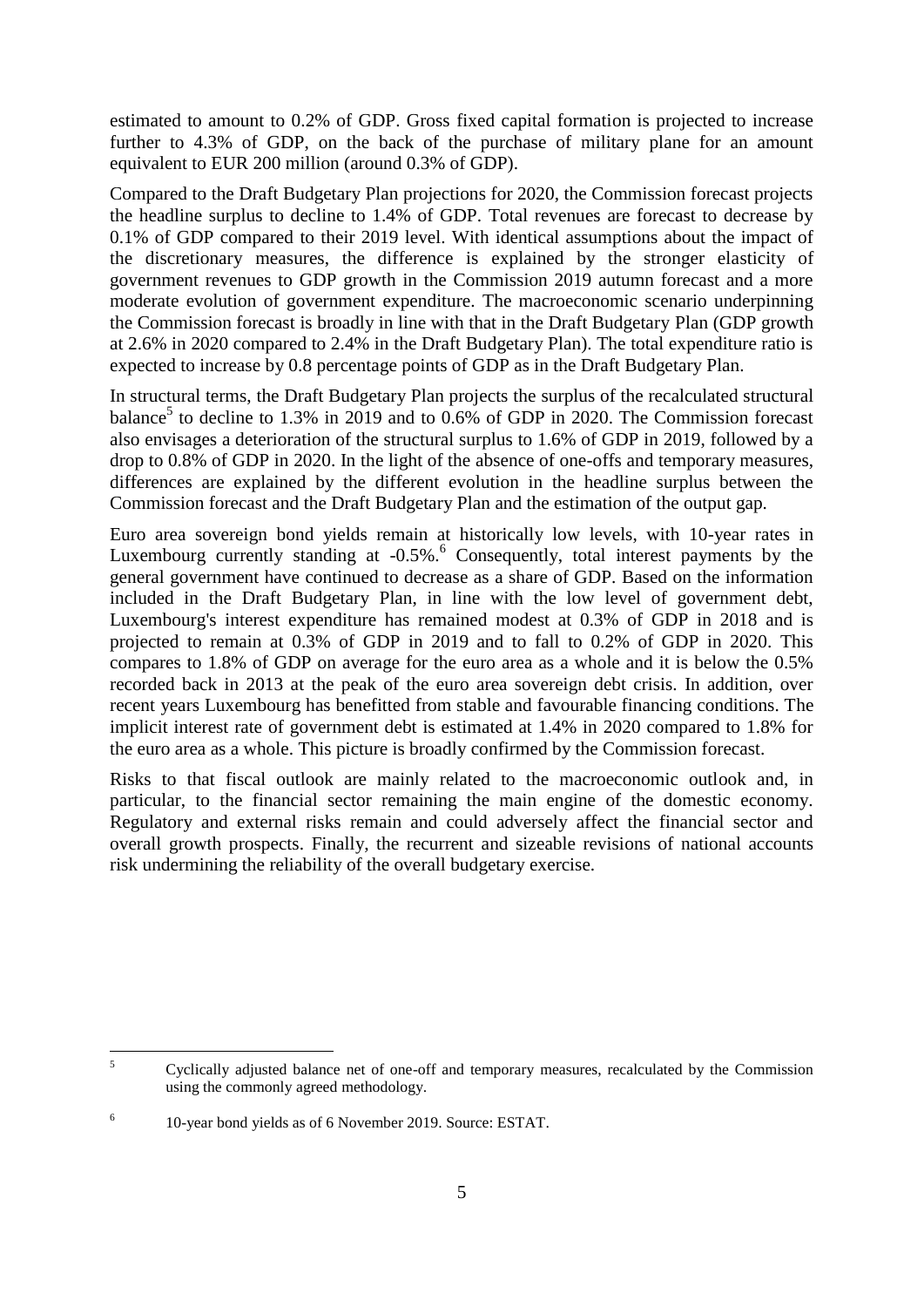estimated to amount to 0.2% of GDP. Gross fixed capital formation is projected to increase further to 4.3% of GDP, on the back of the purchase of military plane for an amount equivalent to EUR 200 million (around 0.3% of GDP).

Compared to the Draft Budgetary Plan projections for 2020, the Commission forecast projects the headline surplus to decline to 1.4% of GDP. Total revenues are forecast to decrease by 0.1% of GDP compared to their 2019 level. With identical assumptions about the impact of the discretionary measures, the difference is explained by the stronger elasticity of government revenues to GDP growth in the Commission 2019 autumn forecast and a more moderate evolution of government expenditure. The macroeconomic scenario underpinning the Commission forecast is broadly in line with that in the Draft Budgetary Plan (GDP growth at 2.6% in 2020 compared to 2.4% in the Draft Budgetary Plan). The total expenditure ratio is expected to increase by 0.8 percentage points of GDP as in the Draft Budgetary Plan.

In structural terms, the Draft Budgetary Plan projects the surplus of the recalculated structural balance<sup>5</sup> to decline to 1.3% in 2019 and to  $0.6\%$  of GDP in 2020. The Commission forecast also envisages a deterioration of the structural surplus to 1.6% of GDP in 2019, followed by a drop to 0.8% of GDP in 2020. In the light of the absence of one-offs and temporary measures, differences are explained by the different evolution in the headline surplus between the Commission forecast and the Draft Budgetary Plan and the estimation of the output gap.

Euro area sovereign bond yields remain at historically low levels, with 10-year rates in Luxembourg currently standing at -0.5%.<sup>6</sup> Consequently, total interest payments by the general government have continued to decrease as a share of GDP. Based on the information included in the Draft Budgetary Plan, in line with the low level of government debt, Luxembourg's interest expenditure has remained modest at 0.3% of GDP in 2018 and is projected to remain at 0.3% of GDP in 2019 and to fall to 0.2% of GDP in 2020. This compares to 1.8% of GDP on average for the euro area as a whole and it is below the 0.5% recorded back in 2013 at the peak of the euro area sovereign debt crisis. In addition, over recent years Luxembourg has benefitted from stable and favourable financing conditions. The implicit interest rate of government debt is estimated at 1.4% in 2020 compared to 1.8% for the euro area as a whole. This picture is broadly confirmed by the Commission forecast.

Risks to that fiscal outlook are mainly related to the macroeconomic outlook and, in particular, to the financial sector remaining the main engine of the domestic economy. Regulatory and external risks remain and could adversely affect the financial sector and overall growth prospects. Finally, the recurrent and sizeable revisions of national accounts risk undermining the reliability of the overall budgetary exercise.

 $\overline{\mathbf{5}}$ <sup>5</sup> Cyclically adjusted balance net of one-off and temporary measures, recalculated by the Commission using the commonly agreed methodology.

<sup>6</sup> 10-year bond yields as of 6 November 2019. Source: ESTAT.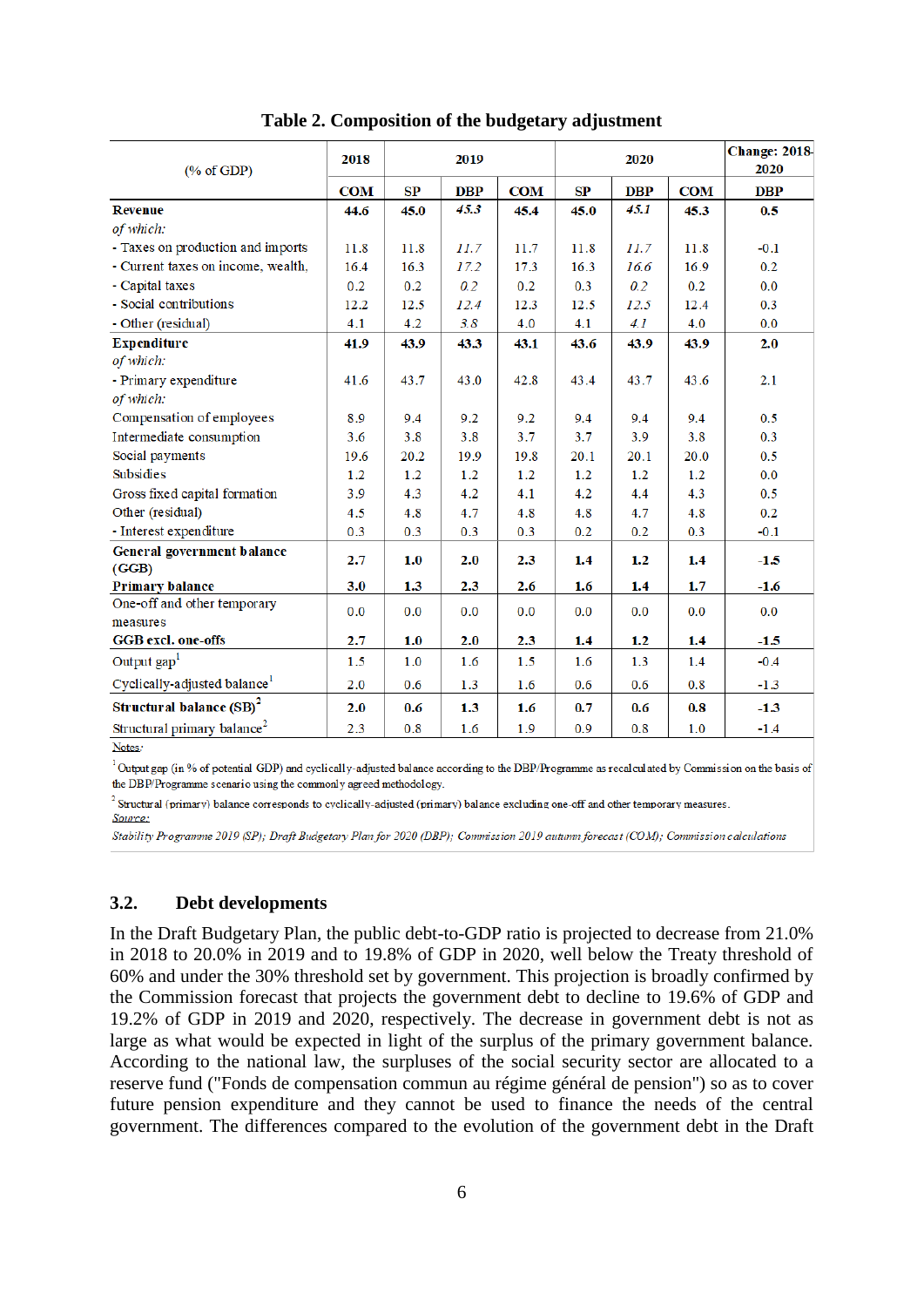| $(% \mathbf{A})$ (% of GDP)              | 2018       | 2019 |            |            |      | 2020       | <b>Change: 2018</b><br>2020 |            |
|------------------------------------------|------------|------|------------|------------|------|------------|-----------------------------|------------|
|                                          | <b>COM</b> | SP   | <b>DBP</b> | <b>COM</b> | SP   | <b>DBP</b> | <b>COM</b>                  | <b>DBP</b> |
| <b>Revenue</b>                           | 44.6       | 45.0 | 45.3       | 45.4       | 45.0 | 45.1       | 45.3                        | 0.5        |
| of which:                                |            |      |            |            |      |            |                             |            |
| - Taxes on production and imports        | 11.8       | 11.8 | 11.7       | 11.7       | 11.8 | 11.7       | 11.8                        | $-0.1$     |
| - Current taxes on income, wealth,       | 16.4       | 16.3 | 17.2       | 17.3       | 16.3 | 16.6       | 16.9                        | 0.2        |
| - Capital taxes                          | 0.2        | 0.2  | 0.2        | 0.2        | 0.3  | 0.2        | 0.2                         | 0.0        |
| - Social contributions                   | 12.2       | 12.5 | 12.4       | 12.3       | 12.5 | 12.5       | 12.4                        | 0.3        |
| - Other (residual)                       | 4.1        | 4.2  | 3.8        | 4.0        | 4.1  | 4.1        | 4.0                         | 0.0        |
| <b>Expenditure</b>                       | 41.9       | 43.9 | 43.3       | 43.1       | 43.6 | 43.9       | 43.9                        | 2.0        |
| of which:                                |            |      |            |            |      |            |                             |            |
| - Primary expenditure                    | 41.6       | 43.7 | 43.0       | 42.8       | 43.4 | 43.7       | 43.6                        | 2.1        |
| of which:                                |            |      |            |            |      |            |                             |            |
| Compensation of employees                | 8.9        | 9.4  | 9.2        | 9.2        | 9.4  | 9.4        | 9.4                         | 0.5        |
| Intermediate consumption                 | 3.6        | 3.8  | 3.8        | 3.7        | 3.7  | 3.9        | 3.8                         | 0.3        |
| Social payments                          | 19.6       | 20.2 | 19.9       | 19.8       | 20.1 | 20.1       | 20.0                        | 0.5        |
| <b>Subsidies</b>                         | 1.2        | 1.2  | 1.2        | 1.2        | 1.2  | 1.2        | 1.2                         | 0.0        |
| Gross fixed capital formation            | 3.9        | 4.3  | 4.2        | 4.1        | 4.2  | 4.4        | 4.3                         | 0.5        |
| Other (residual)                         | 4.5        | 4.8  | 4.7        | 4.8        | 4.8  | 4.7        | 4.8                         | 0.2        |
| - Interest expenditure                   | 0.3        | 0.3  | 0.3        | 0.3        | 0.2  | 0.2        | 0.3                         | $-0.1$     |
| General government balance<br>(GGB)      | 2.7        | 1.0  | 2.0        | 2.3        | 1.4  | 1.2        | 1.4                         | $-1.5$     |
| <b>Primary balance</b>                   | 3.0        | 1.3  | 2.3        | 2.6        | 1.6  | 1.4        | 1.7                         | $-1.6$     |
| One-off and other temporary<br>measures  | 0.0        | 0.0  | 0.0        | 0.0        | 0.0  | 0.0        | 0.0                         | 0.0        |
| <b>GGB</b> excl. one-offs                | 2.7        | 1.0  | 2.0        | 2.3        | 1.4  | 1.2        | 1.4                         | $-1.5$     |
| Output gap <sup>1</sup>                  | 1.5        | 1.0  | 1.6        | 1.5        | 1.6  | 1.3        | 1.4                         | $-0.4$     |
| Cyclically-adjusted balance <sup>1</sup> | 2.0        | 0.6  | 1.3        | 1.6        | 0.6  | 0.6        | 0.8                         | $-1.3$     |
| Structural balance (SB) <sup>2</sup>     | 2.0        | 0.6  | 1.3        | 1.6        | 0.7  | 0.6        | 0.8                         | $-1.3$     |
| Structural primary balance <sup>2</sup>  | 2.3        | 0.8  | 1.6        | 1.9        | 0.9  | 0.8        | 1.0                         | $-1.4$     |

**Table 2. Composition of the budgetary adjustment**

Notes:

<sup>1</sup>Output gap (in % of potential GDP) and cyclically-adjusted balance according to the DBP/Programme as recalculated by Commission on the basis of the DBP/Programme scenario using the commonly agreed methodology.

 $^{2}$  Structural (primary) balance corresponds to cyclically-adjusted (primary) balance excluding one-off and other temporary measures.

Source:

Stability Programme 2019 (SP); Draft Budgetary Plan for 2020 (DBP); Commission 2019 autumn forecast (COM); Commission calculations

# **3.2. Debt developments**

In the Draft Budgetary Plan, the public debt-to-GDP ratio is projected to decrease from 21.0% in 2018 to 20.0% in 2019 and to 19.8% of GDP in 2020, well below the Treaty threshold of 60% and under the 30% threshold set by government. This projection is broadly confirmed by the Commission forecast that projects the government debt to decline to 19.6% of GDP and 19.2% of GDP in 2019 and 2020, respectively. The decrease in government debt is not as large as what would be expected in light of the surplus of the primary government balance. According to the national law, the surpluses of the social security sector are allocated to a reserve fund ("Fonds de compensation commun au régime général de pension") so as to cover future pension expenditure and they cannot be used to finance the needs of the central government. The differences compared to the evolution of the government debt in the Draft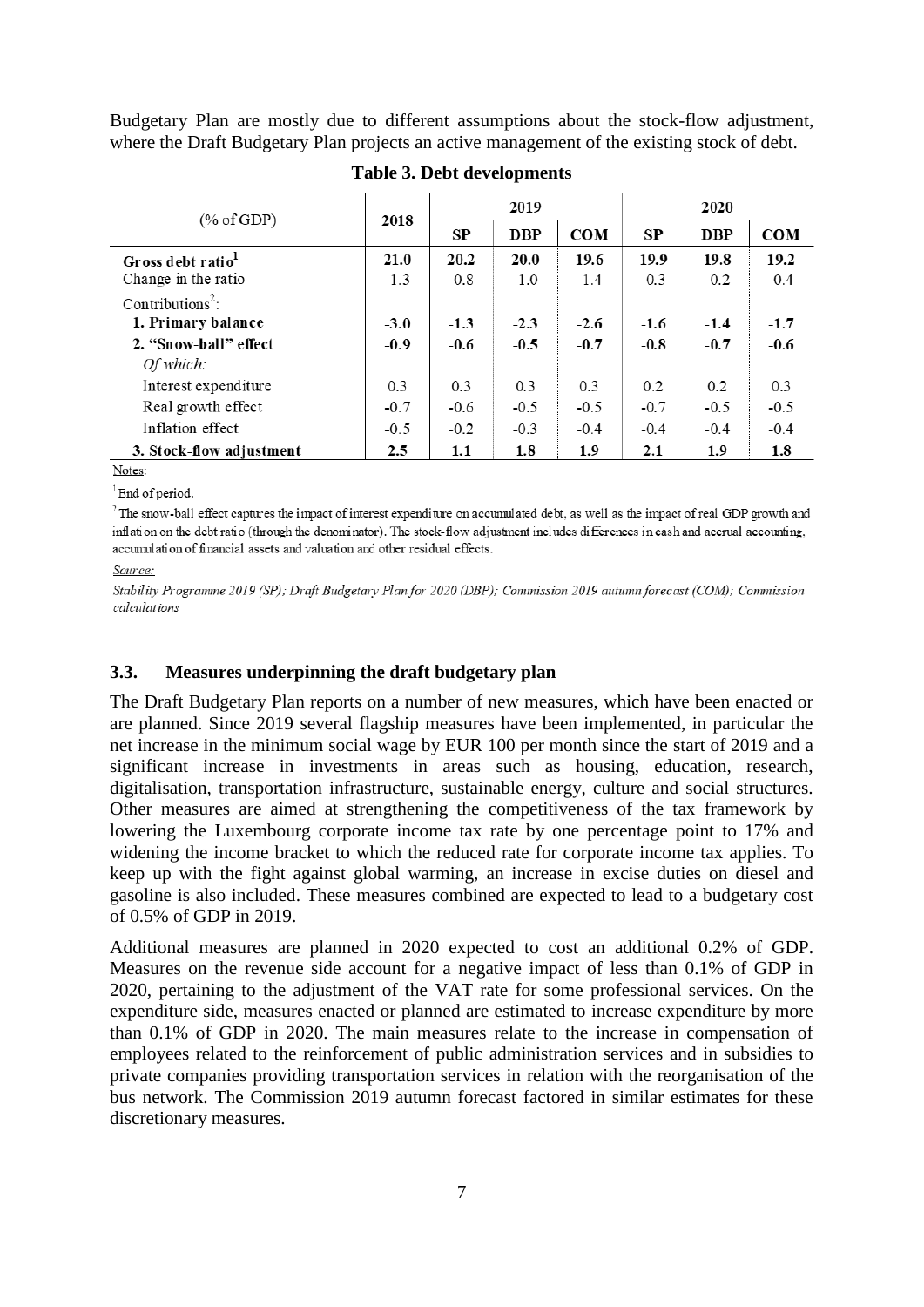Budgetary Plan are mostly due to different assumptions about the stock-flow adjustment, where the Draft Budgetary Plan projects an active management of the existing stock of debt.

| (% of GDP)                    | 2018   |        | 2019        |            | 2020   |            |            |
|-------------------------------|--------|--------|-------------|------------|--------|------------|------------|
|                               |        | SP     | <b>DBP</b>  | <b>COM</b> | SP     | <b>DBP</b> | <b>COM</b> |
| Gross debt ratio <sup>1</sup> | 21.0   | 20.2   | <b>20.0</b> | 19.6       | 19.9   | 19.8       | 19.2       |
| Change in the ratio           | $-1.3$ | $-0.8$ | $-1.0$      | $-1.4$     | $-0.3$ | $-0.2$     | $-0.4$     |
| Contributions <sup>2</sup> :  |        |        |             |            |        |            |            |
| 1. Primary balance            | $-3.0$ | $-1.3$ | $-2.3$      | $-2.6$     | $-1.6$ | $-1.4$     | $-1.7$     |
| 2. "Snow-ball" effect         | $-0.9$ | $-0.6$ | $-0.5$      | $-0.7$     | $-0.8$ | $-0.7$     | $-0.6$     |
| Of which:                     |        |        |             |            |        |            |            |
| Interest expenditure          | 0.3    | 0.3    | 0.3         | 0.3        | 0.2    | 0.2        | 0.3        |
| Real growth effect            | $-0.7$ | $-0.6$ | $-0.5$      | $-0.5$     | $-0.7$ | $-0.5$     | $-0.5$     |
| Inflation effect              | $-0.5$ | $-0.2$ | $-0.3$      | $-0.4$     | $-0.4$ | $-0.4$     | $-0.4$     |
| 3. Stock-flow adjustment      | 2.5    | 1.1    | 1.8         | 1.9        | 2.1    | 1.9        | 1.8        |

### **Table 3. Debt developments**

Notes:

 ${}^{1}$ End of period.

 $2$ The snow-ball effect captures the impact of interest expenditure on accumulated debt, as well as the impact of real GDP growth and inflation on the debt ratio (through the denominator). The stock-flow adjustment includes differences in cash and accrual accounting, accumulation of financial assets and valuation and other residual effects.

#### Source:

Stability Programme 2019 (SP); Draft Budgetary Plan for 2020 (DBP); Commission 2019 autumn forecast (COM); Commission calculations

### **3.3. Measures underpinning the draft budgetary plan**

The Draft Budgetary Plan reports on a number of new measures, which have been enacted or are planned. Since 2019 several flagship measures have been implemented, in particular the net increase in the minimum social wage by EUR 100 per month since the start of 2019 and a significant increase in investments in areas such as housing, education, research, digitalisation, transportation infrastructure, sustainable energy, culture and social structures. Other measures are aimed at strengthening the competitiveness of the tax framework by lowering the Luxembourg corporate income tax rate by one percentage point to 17% and widening the income bracket to which the reduced rate for corporate income tax applies. To keep up with the fight against global warming, an increase in excise duties on diesel and gasoline is also included. These measures combined are expected to lead to a budgetary cost of 0.5% of GDP in 2019.

Additional measures are planned in 2020 expected to cost an additional 0.2% of GDP. Measures on the revenue side account for a negative impact of less than 0.1% of GDP in 2020, pertaining to the adjustment of the VAT rate for some professional services. On the expenditure side, measures enacted or planned are estimated to increase expenditure by more than 0.1% of GDP in 2020. The main measures relate to the increase in compensation of employees related to the reinforcement of public administration services and in subsidies to private companies providing transportation services in relation with the reorganisation of the bus network. The Commission 2019 autumn forecast factored in similar estimates for these discretionary measures.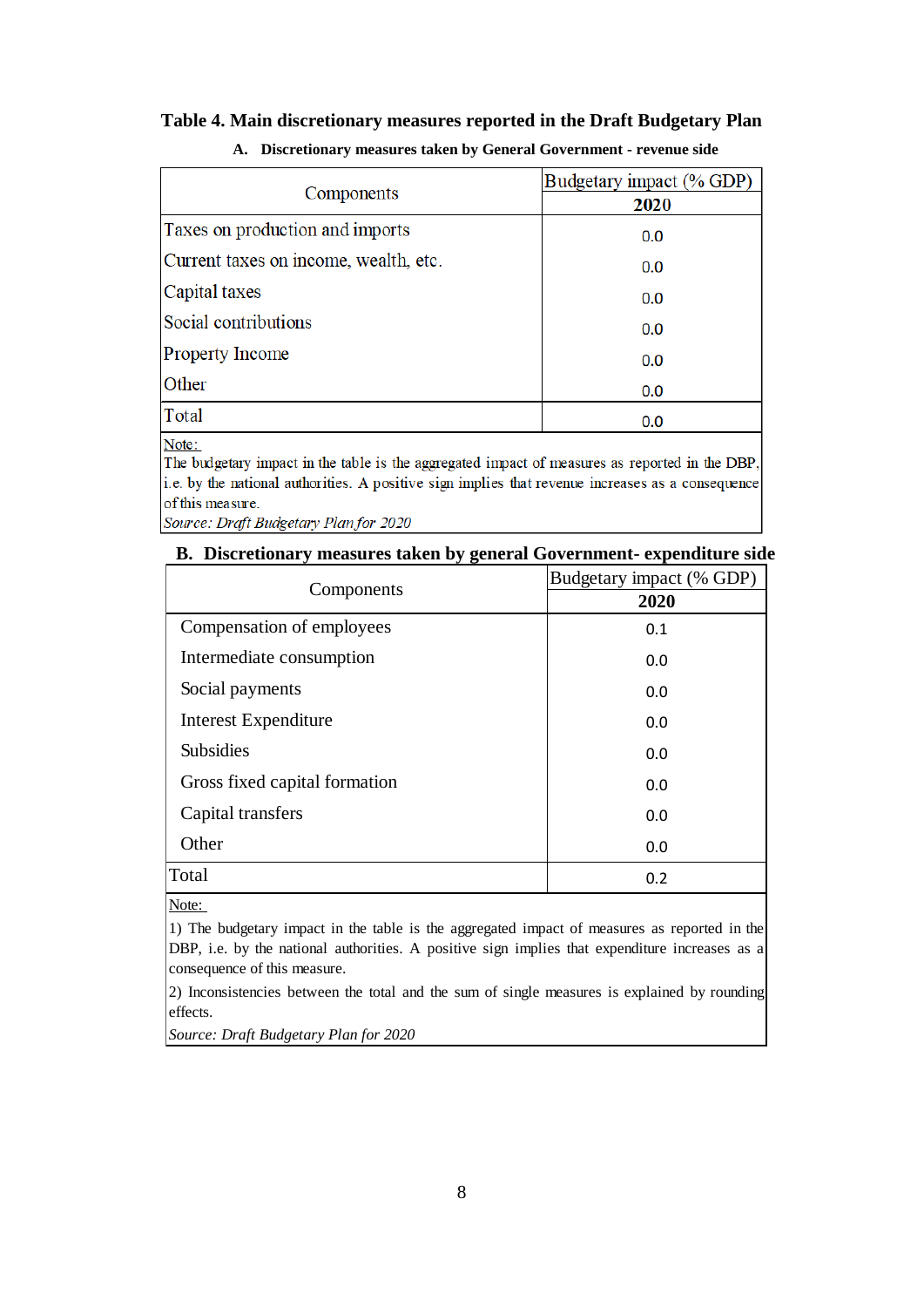### **Table 4. Main discretionary measures reported in the Draft Budgetary Plan**

| Components                            | Budgetary impact (% GDP)<br>2020 |
|---------------------------------------|----------------------------------|
| Taxes on production and imports       | 0.0                              |
| Current taxes on income, wealth, etc. | 0.0                              |
| Capital taxes                         | 0.0                              |
| Social contributions                  | 0.0                              |
| <b>Property Income</b>                | 0.0                              |
| Other                                 | 0.0                              |
| Total                                 | 0.0                              |

### **A. Discretionary measures taken by General Government - revenue side**

Note:

The budgetary impact in the table is the aggregated impact of measures as reported in the DBP, i.e. by the national authorities. A positive sign implies that revenue increases as a consequence of this measure.

Source: Draft Budgetary Plan for 2020

### **B. Discretionary measures taken by general Government- expenditure side**

|                               | Budgetary impact (% GDP) |
|-------------------------------|--------------------------|
| Components                    | 2020                     |
| Compensation of employees     | 0.1                      |
| Intermediate consumption      | 0.0                      |
| Social payments               | 0.0                      |
| <b>Interest Expenditure</b>   | 0.0                      |
| <b>Subsidies</b>              | 0.0                      |
| Gross fixed capital formation | 0.0                      |
| Capital transfers             | 0.0                      |
| Other                         | 0.0                      |
| Total                         | 0.2                      |

Note:

1) The budgetary impact in the table is the aggregated impact of measures as reported in the DBP, i.e. by the national authorities. A positive sign implies that expenditure increases as a consequence of this measure.

2) Inconsistencies between the total and the sum of single measures is explained by rounding effects.

*Source: Draft Budgetary Plan for 2020*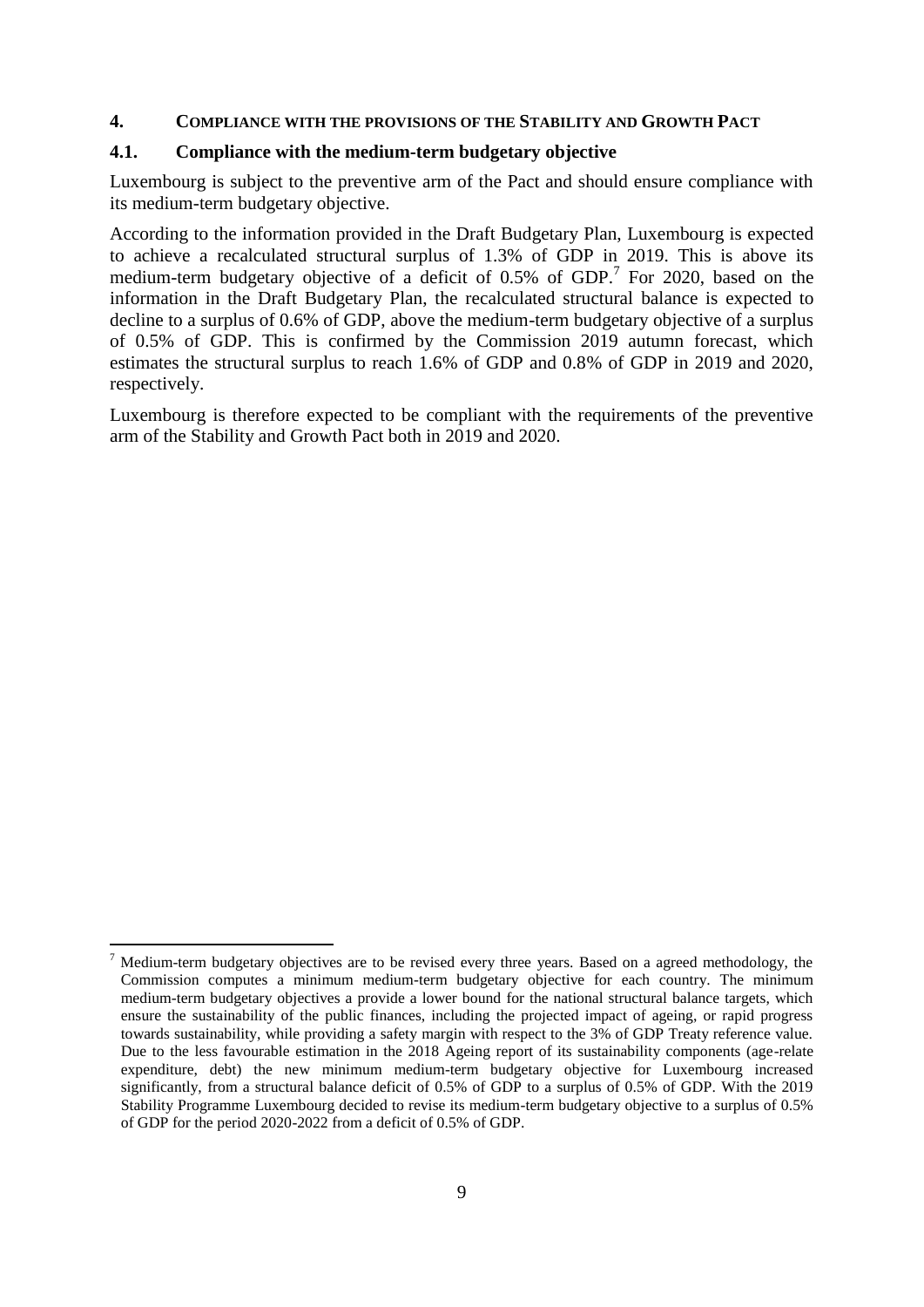### **4. COMPLIANCE WITH THE PROVISIONS OF THE STABILITY AND GROWTH PACT**

### **4.1. Compliance with the medium-term budgetary objective**

Luxembourg is subject to the preventive arm of the Pact and should ensure compliance with its medium-term budgetary objective.

According to the information provided in the Draft Budgetary Plan, Luxembourg is expected to achieve a recalculated structural surplus of 1.3% of GDP in 2019. This is above its medium-term budgetary objective of a deficit of 0.5% of GDP.<sup>7</sup> For 2020, based on the information in the Draft Budgetary Plan, the recalculated structural balance is expected to decline to a surplus of 0.6% of GDP, above the medium-term budgetary objective of a surplus of 0.5% of GDP. This is confirmed by the Commission 2019 autumn forecast, which estimates the structural surplus to reach 1.6% of GDP and 0.8% of GDP in 2019 and 2020, respectively.

Luxembourg is therefore expected to be compliant with the requirements of the preventive arm of the Stability and Growth Pact both in 2019 and 2020.

1

<sup>7</sup> Medium-term budgetary objectives are to be revised every three years. Based on a agreed methodology, the Commission computes a minimum medium-term budgetary objective for each country. The minimum medium-term budgetary objectives a provide a lower bound for the national structural balance targets, which ensure the sustainability of the public finances, including the projected impact of ageing, or rapid progress towards sustainability, while providing a safety margin with respect to the 3% of GDP Treaty reference value. Due to the less favourable estimation in the 2018 Ageing report of its sustainability components (age-relate expenditure, debt) the new minimum medium-term budgetary objective for Luxembourg increased significantly, from a structural balance deficit of 0.5% of GDP to a surplus of 0.5% of GDP. With the 2019 Stability Programme Luxembourg decided to revise its medium-term budgetary objective to a surplus of 0.5% of GDP for the period 2020-2022 from a deficit of 0.5% of GDP.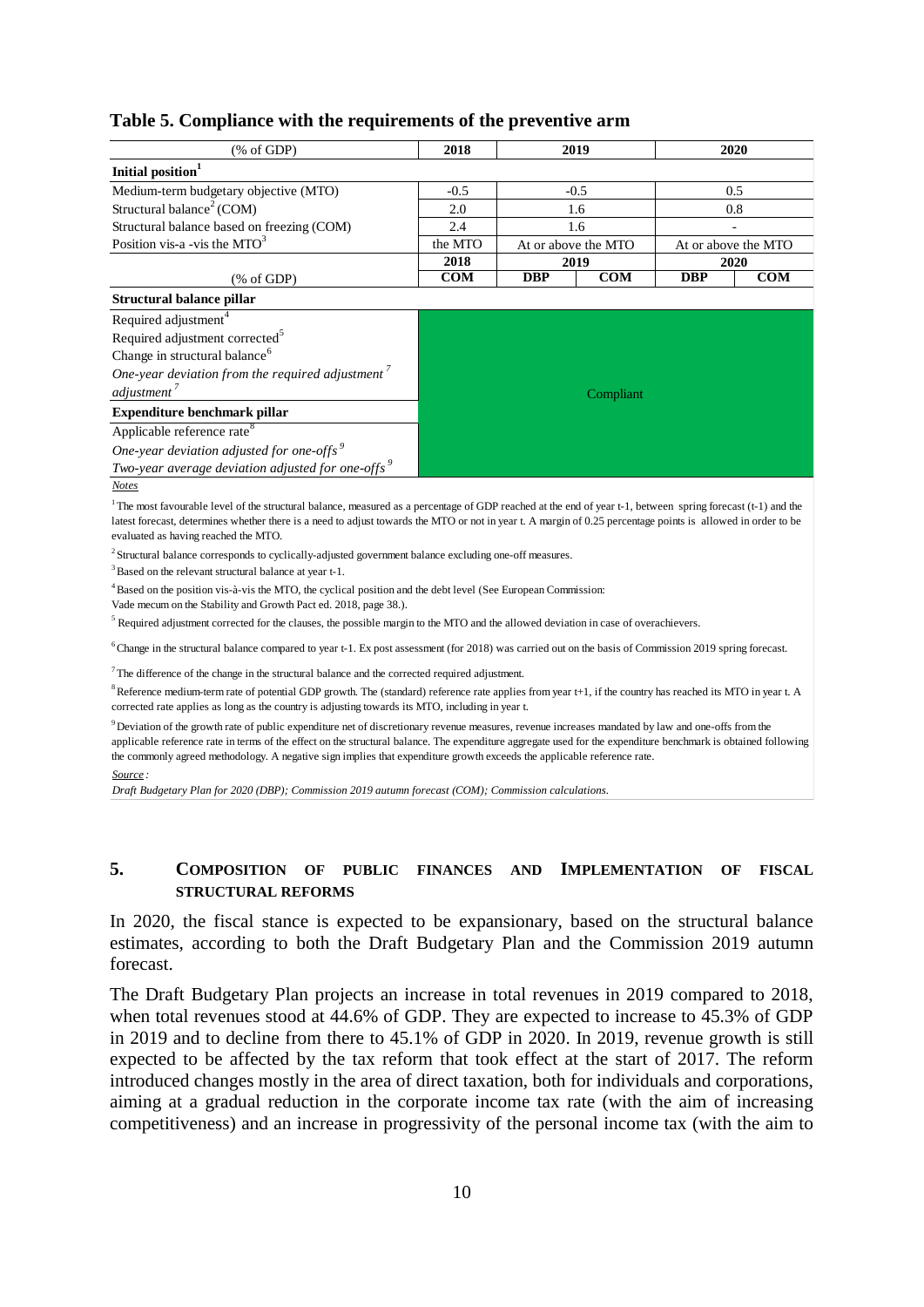| radic st comphance with the requirements or the preventive arm                                                                                                                                                                                                                                                                                                                  |           |                     |        |                     |     |  |
|---------------------------------------------------------------------------------------------------------------------------------------------------------------------------------------------------------------------------------------------------------------------------------------------------------------------------------------------------------------------------------|-----------|---------------------|--------|---------------------|-----|--|
| $(% \mathcal{L}_{0}$ (% of GDP)                                                                                                                                                                                                                                                                                                                                                 | 2018      | 2019<br>2020        |        |                     |     |  |
| Initial position <sup>1</sup>                                                                                                                                                                                                                                                                                                                                                   |           |                     |        |                     |     |  |
| Medium-term budgetary objective (MTO)                                                                                                                                                                                                                                                                                                                                           | $-0.5$    |                     | $-0.5$ |                     | 0.5 |  |
| Structural balance <sup>2</sup> (COM)                                                                                                                                                                                                                                                                                                                                           | 2.0       | 1.6                 |        | 0.8                 |     |  |
| Structural balance based on freezing (COM)                                                                                                                                                                                                                                                                                                                                      | 2.4       | 1.6                 |        |                     |     |  |
| Position vis-a -vis the $MTO3$                                                                                                                                                                                                                                                                                                                                                  | the MTO   | At or above the MTO |        | At or above the MTO |     |  |
|                                                                                                                                                                                                                                                                                                                                                                                 | 2018      | 2019                |        | 2020                |     |  |
| $(% \mathcal{L}_{0}$ (% of GDP)                                                                                                                                                                                                                                                                                                                                                 | COM       | COM<br><b>DBP</b>   |        | <b>DBP</b>          | COM |  |
| Structural balance pillar                                                                                                                                                                                                                                                                                                                                                       |           |                     |        |                     |     |  |
| Required adjustment <sup>4</sup>                                                                                                                                                                                                                                                                                                                                                |           |                     |        |                     |     |  |
| Required adjustment corrected <sup>5</sup>                                                                                                                                                                                                                                                                                                                                      |           |                     |        |                     |     |  |
| Change in structural balance <sup>6</sup>                                                                                                                                                                                                                                                                                                                                       |           |                     |        |                     |     |  |
| One-year deviation from the required adjustment $\frac{7}{4}$                                                                                                                                                                                                                                                                                                                   |           |                     |        |                     |     |  |
| adjustment <sup>7</sup>                                                                                                                                                                                                                                                                                                                                                         | Compliant |                     |        |                     |     |  |
| Expenditure benchmark pillar                                                                                                                                                                                                                                                                                                                                                    |           |                     |        |                     |     |  |
| Applicable reference rate <sup>8</sup>                                                                                                                                                                                                                                                                                                                                          |           |                     |        |                     |     |  |
| One-year deviation adjusted for one-offs <sup>9</sup>                                                                                                                                                                                                                                                                                                                           |           |                     |        |                     |     |  |
| Two-year average deviation adjusted for one-offs $\frac{9}{5}$                                                                                                                                                                                                                                                                                                                  |           |                     |        |                     |     |  |
| <b>Notes</b>                                                                                                                                                                                                                                                                                                                                                                    |           |                     |        |                     |     |  |
| <sup>1</sup> The most favourable level of the structural balance, measured as a percentage of GDP reached at the end of year t-1, between spring forecast (t-1) and the<br>latest forecast, determines whether there is a need to adjust towards the MTO or not in year t. A margin of 0.25 percentage points is allowed in order to be<br>evaluated as having reached the MTO. |           |                     |        |                     |     |  |
| <sup>2</sup> Structural balance corresponds to cyclically-adjusted government balance excluding one-off measures.                                                                                                                                                                                                                                                               |           |                     |        |                     |     |  |
| <sup>3</sup> Based on the relevant structural balance at year t-1.                                                                                                                                                                                                                                                                                                              |           |                     |        |                     |     |  |
| <sup>4</sup> Based on the position vis-à-vis the MTO, the cyclical position and the debt level (See European Commission:<br>Vade mecum on the Stability and Growth Pact ed. 2018, page 38.).                                                                                                                                                                                    |           |                     |        |                     |     |  |
| $5$ Required adjustment corrected for the clauses, the possible margin to the MTO and the allowed deviation in case of overachievers.                                                                                                                                                                                                                                           |           |                     |        |                     |     |  |
| $6$ Change in the structural balance compared to year t-1. Ex post assessment (for 2018) was carried out on the basis of Commission 2019 spring forecast.                                                                                                                                                                                                                       |           |                     |        |                     |     |  |
| $7$ The difference of the change in the structural balance and the corrected required adjustment.                                                                                                                                                                                                                                                                               |           |                     |        |                     |     |  |
| $8$ Reference medium-term rate of potential GDP growth. The (standard) reference rate applies from year t+1, if the country has reached its MTO in year t. A<br>corrected rate applies as long as the country is adjusting towards its MTO, including in year t.                                                                                                                |           |                     |        |                     |     |  |

# **Table 5. Compliance with the requirements of the preventive arm**

<sup>9</sup>Deviation of the growth rate of public expenditure net of discretionary revenue measures, revenue increases mandated by law and one-offs from the applicable reference rate in terms of the effect on the structural balance. The expenditure aggregate used for the expenditure benchmark is obtained following the commonly agreed methodology. A negative sign implies that expenditure growth exceeds the applicable reference rate.

*Source :*

*Draft Budgetary Plan for 2020 (DBP); Commission 2019 autumn forecast (COM); Commission calculations.*

## **5. COMPOSITION OF PUBLIC FINANCES AND IMPLEMENTATION OF FISCAL STRUCTURAL REFORMS**

In 2020, the fiscal stance is expected to be expansionary, based on the structural balance estimates, according to both the Draft Budgetary Plan and the Commission 2019 autumn forecast.

The Draft Budgetary Plan projects an increase in total revenues in 2019 compared to 2018, when total revenues stood at 44.6% of GDP. They are expected to increase to 45.3% of GDP in 2019 and to decline from there to 45.1% of GDP in 2020. In 2019, revenue growth is still expected to be affected by the tax reform that took effect at the start of 2017. The reform introduced changes mostly in the area of direct taxation, both for individuals and corporations, aiming at a gradual reduction in the corporate income tax rate (with the aim of increasing competitiveness) and an increase in progressivity of the personal income tax (with the aim to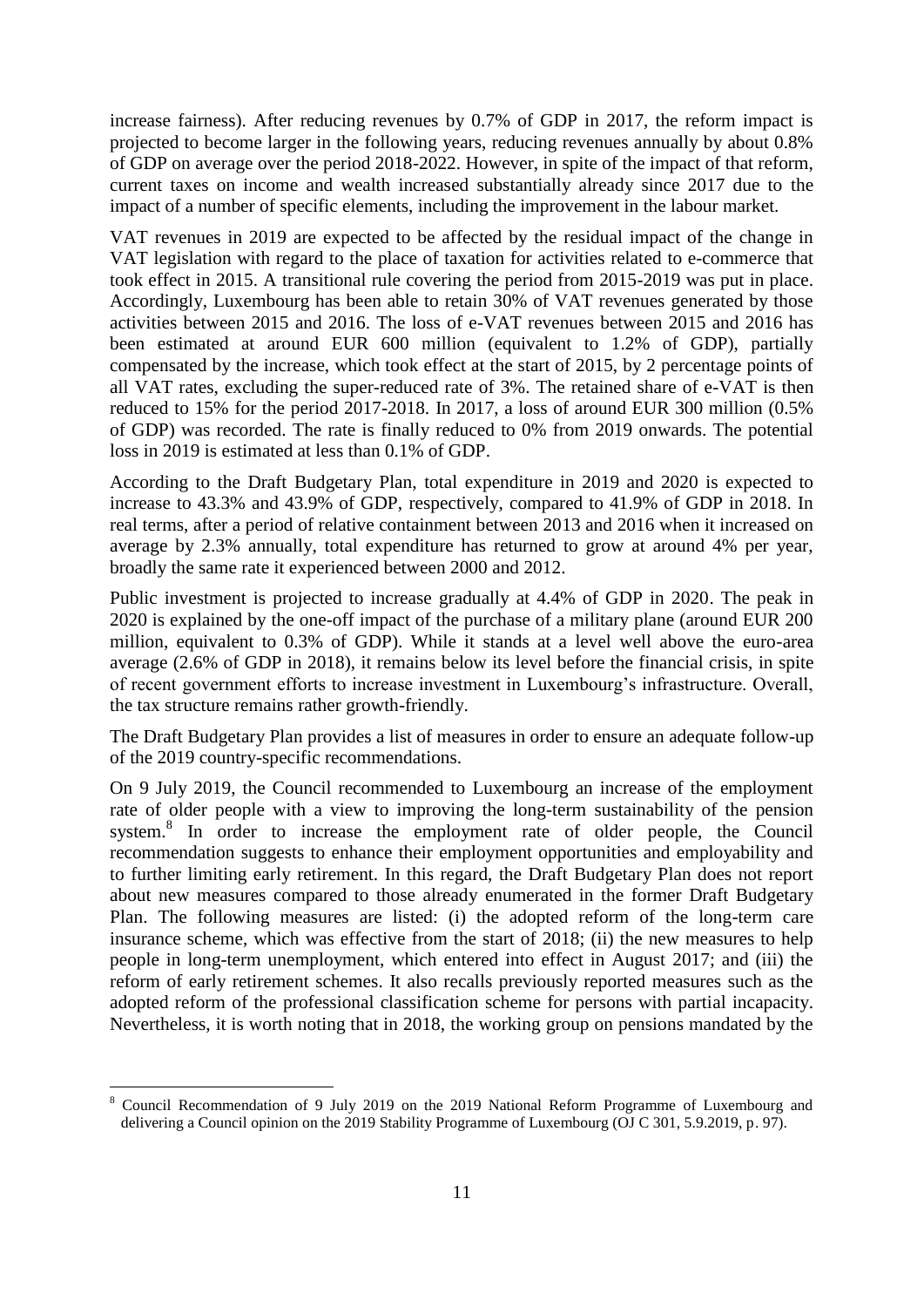increase fairness). After reducing revenues by 0.7% of GDP in 2017, the reform impact is projected to become larger in the following years, reducing revenues annually by about 0.8% of GDP on average over the period 2018-2022. However, in spite of the impact of that reform, current taxes on income and wealth increased substantially already since 2017 due to the impact of a number of specific elements, including the improvement in the labour market.

VAT revenues in 2019 are expected to be affected by the residual impact of the change in VAT legislation with regard to the place of taxation for activities related to e-commerce that took effect in 2015. A transitional rule covering the period from 2015-2019 was put in place. Accordingly, Luxembourg has been able to retain 30% of VAT revenues generated by those activities between 2015 and 2016. The loss of e-VAT revenues between 2015 and 2016 has been estimated at around EUR 600 million (equivalent to 1.2% of GDP), partially compensated by the increase, which took effect at the start of 2015, by 2 percentage points of all VAT rates, excluding the super-reduced rate of 3%. The retained share of e-VAT is then reduced to 15% for the period 2017-2018. In 2017, a loss of around EUR 300 million (0.5% of GDP) was recorded. The rate is finally reduced to 0% from 2019 onwards. The potential loss in 2019 is estimated at less than 0.1% of GDP.

According to the Draft Budgetary Plan, total expenditure in 2019 and 2020 is expected to increase to 43.3% and 43.9% of GDP, respectively, compared to 41.9% of GDP in 2018. In real terms, after a period of relative containment between 2013 and 2016 when it increased on average by 2.3% annually, total expenditure has returned to grow at around 4% per year, broadly the same rate it experienced between 2000 and 2012.

Public investment is projected to increase gradually at 4.4% of GDP in 2020. The peak in 2020 is explained by the one-off impact of the purchase of a military plane (around EUR 200 million, equivalent to 0.3% of GDP). While it stands at a level well above the euro-area average (2.6% of GDP in 2018), it remains below its level before the financial crisis, in spite of recent government efforts to increase investment in Luxembourg's infrastructure. Overall, the tax structure remains rather growth-friendly.

The Draft Budgetary Plan provides a list of measures in order to ensure an adequate follow-up of the 2019 country-specific recommendations.

On 9 July 2019, the Council recommended to Luxembourg an increase of the employment rate of older people with a view to improving the long-term sustainability of the pension system.<sup>8</sup> In order to increase the employment rate of older people, the Council recommendation suggests to enhance their employment opportunities and employability and to further limiting early retirement. In this regard, the Draft Budgetary Plan does not report about new measures compared to those already enumerated in the former Draft Budgetary Plan. The following measures are listed: (i) the adopted reform of the long-term care insurance scheme, which was effective from the start of 2018; (ii) the new measures to help people in long-term unemployment, which entered into effect in August 2017; and (iii) the reform of early retirement schemes. It also recalls previously reported measures such as the adopted reform of the professional classification scheme for persons with partial incapacity. Nevertheless, it is worth noting that in 2018, the working group on pensions mandated by the

<u>.</u>

<sup>8</sup> Council Recommendation of 9 July 2019 on the 2019 National Reform Programme of Luxembourg and delivering a Council opinion on the 2019 Stability Programme of Luxembourg (OJ C 301, 5.9.2019, p. 97).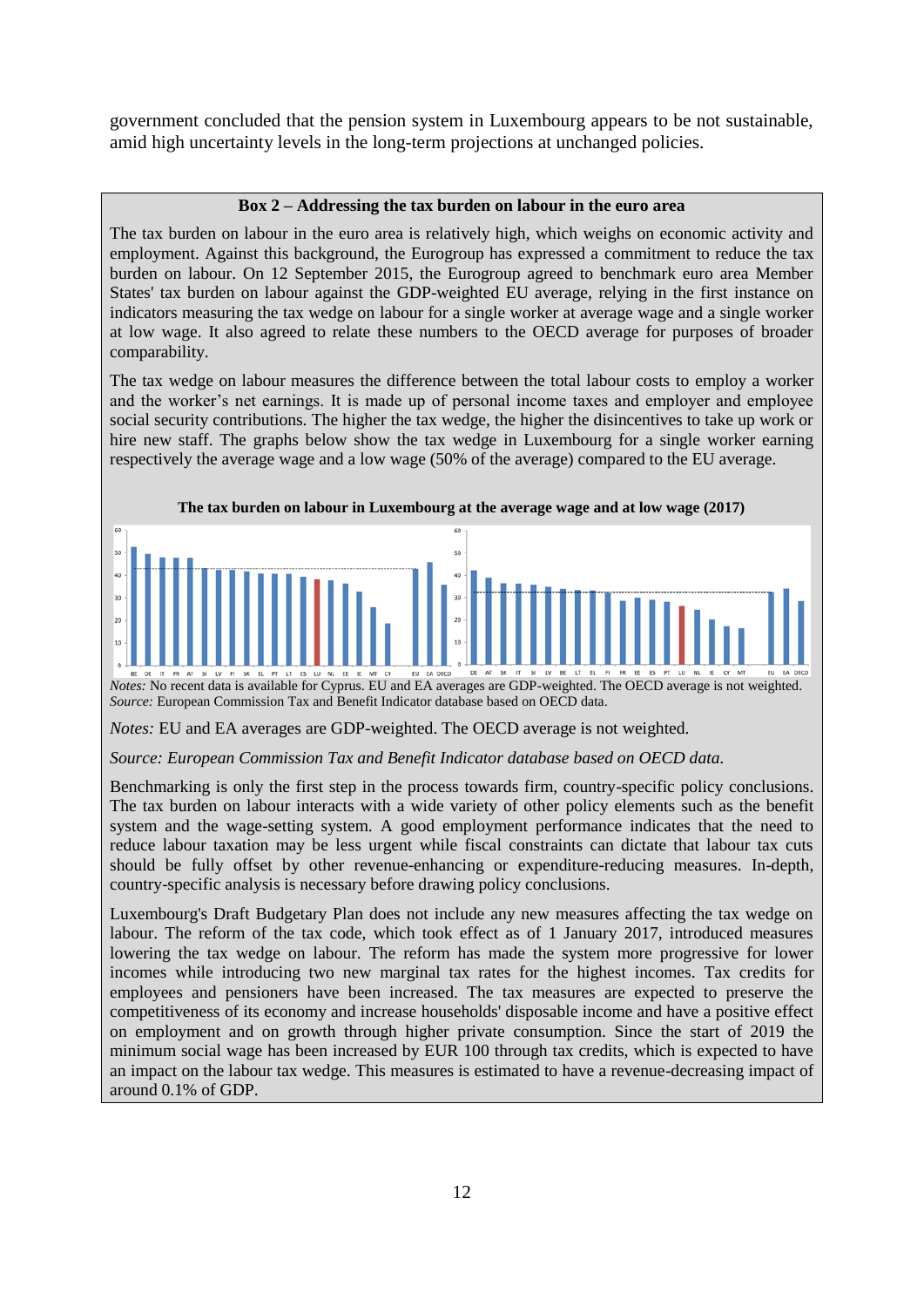government concluded that the pension system in Luxembourg appears to be not sustainable, amid high uncertainty levels in the long-term projections at unchanged policies.

### **Box 2 – Addressing the tax burden on labour in the euro area**

The tax burden on labour in the euro area is relatively high, which weighs on economic activity and employment. Against this background, the Eurogroup has expressed a commitment to reduce the tax burden on labour. On 12 September 2015, the Eurogroup agreed to benchmark euro area Member States' tax burden on labour against the GDP-weighted EU average, relying in the first instance on indicators measuring the tax wedge on labour for a single worker at average wage and a single worker at low wage. It also agreed to relate these numbers to the OECD average for purposes of broader comparability.

The tax wedge on labour measures the difference between the total labour costs to employ a worker and the worker's net earnings. It is made up of personal income taxes and employer and employee social security contributions. The higher the tax wedge, the higher the disincentives to take up work or hire new staff. The graphs below show the tax wedge in Luxembourg for a single worker earning respectively the average wage and a low wage (50% of the average) compared to the EU average.



*Source:* European Commission Tax and Benefit Indicator database based on OECD data*.*

*Notes:* EU and EA averages are GDP-weighted. The OECD average is not weighted.

### *Source: European Commission Tax and Benefit Indicator database based on OECD data.*

Benchmarking is only the first step in the process towards firm, country-specific policy conclusions. The tax burden on labour interacts with a wide variety of other policy elements such as the benefit system and the wage-setting system. A good employment performance indicates that the need to reduce labour taxation may be less urgent while fiscal constraints can dictate that labour tax cuts should be fully offset by other revenue-enhancing or expenditure-reducing measures. In-depth, country-specific analysis is necessary before drawing policy conclusions.

Luxembourg's Draft Budgetary Plan does not include any new measures affecting the tax wedge on labour. The reform of the tax code, which took effect as of 1 January 2017, introduced measures lowering the tax wedge on labour. The reform has made the system more progressive for lower incomes while introducing two new marginal tax rates for the highest incomes. Tax credits for employees and pensioners have been increased. The tax measures are expected to preserve the competitiveness of its economy and increase households' disposable income and have a positive effect on employment and on growth through higher private consumption. Since the start of 2019 the minimum social wage has been increased by EUR 100 through tax credits, which is expected to have an impact on the labour tax wedge. This measures is estimated to have a revenue-decreasing impact of around 0.1% of GDP.